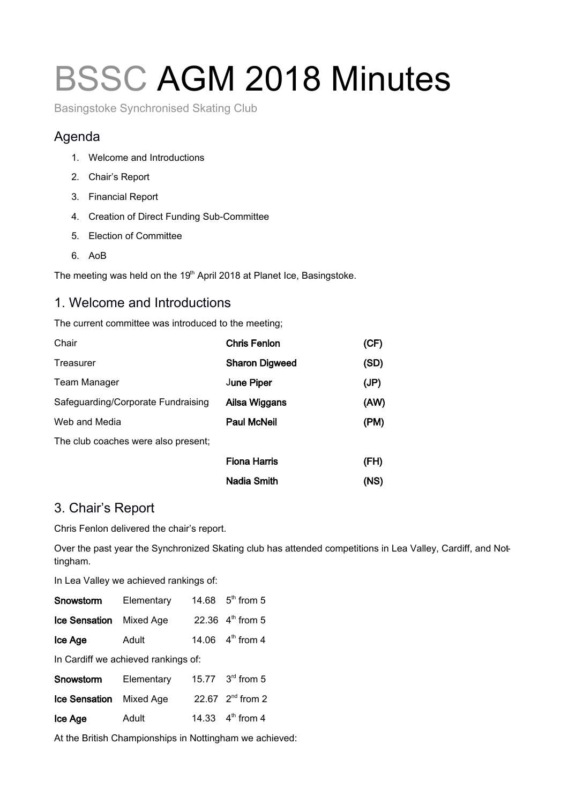# BSSC AGM 2018 Minutes

Basingstoke Synchronised Skating Club

# Agenda

- 1. Welcome and Introductions
- 2. Chair's Report
- 3. Financial Report
- 4. Creation of Direct Funding Sub-Committee
- 5. Election of Committee
- 6. AoB

The meeting was held on the 19<sup>th</sup> April 2018 at Planet Ice, Basingstoke.

#### 1. Welcome and Introductions

The current committee was introduced to the meeting;

| Chair                               | <b>Chris Fenlon</b>   | (CF) |
|-------------------------------------|-----------------------|------|
| Treasurer                           | <b>Sharon Digweed</b> | (SD) |
| <b>Team Manager</b>                 | <b>June Piper</b>     | (JP) |
| Safeguarding/Corporate Fundraising  | Ailsa Wiggans         | (AW) |
| Web and Media                       | <b>Paul McNeil</b>    | (PM) |
| The club coaches were also present; |                       |      |
|                                     | <b>Fiona Harris</b>   | (FH) |
|                                     | <b>Nadia Smith</b>    | (NS) |

# 3. Chair's Report

Chris Fenlon delivered the chair's report.

Over the past year the Synchronized Skating club has attended competitions in Lea Valley, Cardiff, and Nottingham.

In Lea Valley we achieved rankings of:

| Snowstorm                           | Elementary |  | 14.68 $5^{th}$ from 5        |
|-------------------------------------|------------|--|------------------------------|
| <b>Ice Sensation</b>                | Mixed Age  |  | 22.36 4 <sup>th</sup> from 5 |
| Ice Age                             | Adult      |  | 14.06 $4^{\text{th}}$ from 4 |
| In Cardiff we achieved rankings of: |            |  |                              |
| Snowstorm                           | Elementary |  | 15.77 3 <sup>rd</sup> from 5 |
| <b>Ice Sensation</b>                | Mixed Age  |  | 22.67 2 <sup>nd</sup> from 2 |
| Ice Age                             | Adult      |  | 14.33 4 <sup>th</sup> from 4 |
|                                     |            |  |                              |

At the British Championships in Nottingham we achieved: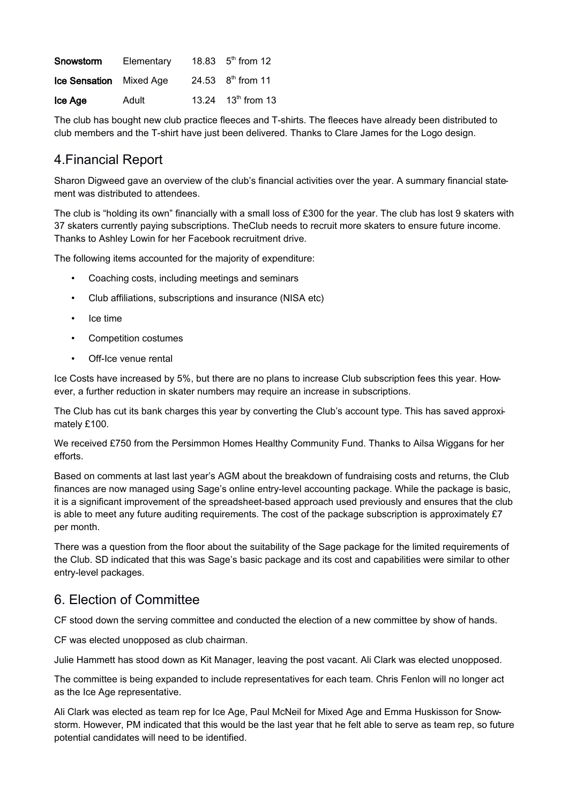| Snowstorm                      | Elementary | 18.83 $5th$ from 12            |
|--------------------------------|------------|--------------------------------|
| <b>Ice Sensation</b> Mixed Age |            | 24.53 $8^{th}$ from 11         |
| Ice Age                        | Adult      | 13.24 13 <sup>th</sup> from 13 |

The club has bought new club practice fleeces and T-shirts. The fleeces have already been distributed to club members and the T-shirt have just been delivered. Thanks to Clare James for the Logo design.

#### 4.Financial Report

Sharon Digweed gave an overview of the club's financial activities over the year. A summary financial statement was distributed to attendees.

The club is "holding its own" financially with a small loss of £300 for the year. The club has lost 9 skaters with 37 skaters currently paying subscriptions. TheClub needs to recruit more skaters to ensure future income. Thanks to Ashley Lowin for her Facebook recruitment drive.

The following items accounted for the majority of expenditure:

- Coaching costs, including meetings and seminars
- Club affiliations, subscriptions and insurance (NISA etc)
- Ice time
- Competition costumes
- Off-Ice venue rental

Ice Costs have increased by 5%, but there are no plans to increase Club subscription fees this year. However, a further reduction in skater numbers may require an increase in subscriptions.

The Club has cut its bank charges this year by converting the Club's account type. This has saved approximately £100.

We received £750 from the Persimmon Homes Healthy Community Fund. Thanks to Ailsa Wiggans for her efforts.

Based on comments at last last year's AGM about the breakdown of fundraising costs and returns, the Club finances are now managed using Sage's online entry-level accounting package. While the package is basic, it is a significant improvement of the spreadsheet-based approach used previously and ensures that the club is able to meet any future auditing requirements. The cost of the package subscription is approximately £7 per month.

There was a question from the floor about the suitability of the Sage package for the limited requirements of the Club. SD indicated that this was Sage's basic package and its cost and capabilities were similar to other entry-level packages.

#### 6. Election of Committee

CF stood down the serving committee and conducted the election of a new committee by show of hands.

CF was elected unopposed as club chairman.

Julie Hammett has stood down as Kit Manager, leaving the post vacant. Ali Clark was elected unopposed.

The committee is being expanded to include representatives for each team. Chris Fenlon will no longer act as the Ice Age representative.

Ali Clark was elected as team rep for Ice Age, Paul McNeil for Mixed Age and Emma Huskisson for Snowstorm. However, PM indicated that this would be the last year that he felt able to serve as team rep, so future potential candidates will need to be identified.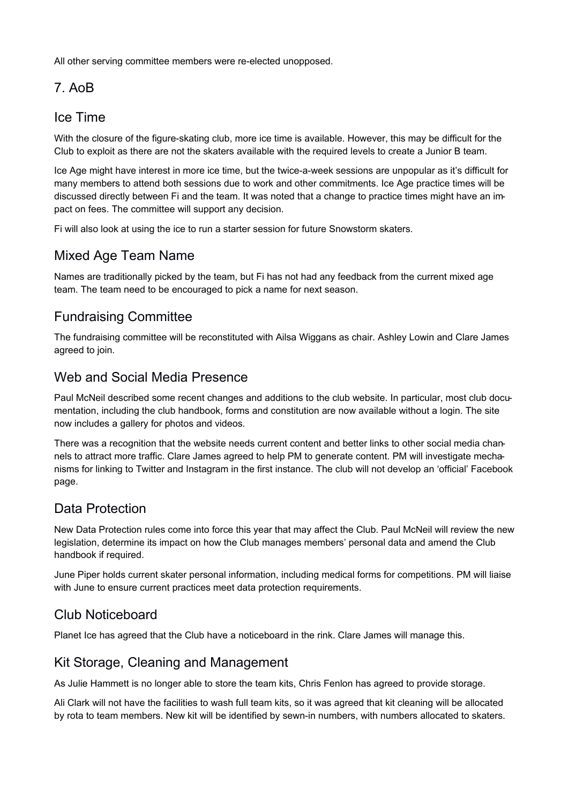All other serving committee members were re-elected unopposed.

# 7. AoB

#### Ice Time

With the closure of the figure-skating club, more ice time is available. However, this may be difficult for the Club to exploit as there are not the skaters available with the required levels to create a Junior B team.

Ice Age might have interest in more ice time, but the twice-a-week sessions are unpopular as it's difficult for many members to attend both sessions due to work and other commitments. Ice Age practice times will be discussed directly between Fi and the team. It was noted that a change to practice times might have an impact on fees. The committee will support any decision.

Fi will also look at using the ice to run a starter session for future Snowstorm skaters.

# Mixed Age Team Name

Names are traditionally picked by the team, but Fi has not had any feedback from the current mixed age team. The team need to be encouraged to pick a name for next season.

# Fundraising Committee

The fundraising committee will be reconstituted with Ailsa Wiggans as chair. Ashley Lowin and Clare James agreed to join.

#### Web and Social Media Presence

Paul McNeil described some recent changes and additions to the club website. In particular, most club documentation, including the club handbook, forms and constitution are now available without a login. The site now includes a gallery for photos and videos.

There was a recognition that the website needs current content and better links to other social media channels to attract more traffic. Clare James agreed to help PM to generate content. PM will investigate mechanisms for linking to Twitter and Instagram in the first instance. The club will not develop an 'official' Facebook page.

# Data Protection

New Data Protection rules come into force this year that may affect the Club. Paul McNeil will review the new legislation, determine its impact on how the Club manages members' personal data and amend the Club handbook if required.

June Piper holds current skater personal information, including medical forms for competitions. PM will liaise with June to ensure current practices meet data protection requirements.

# Club Noticeboard

Planet Ice has agreed that the Club have a noticeboard in the rink. Clare James will manage this.

# Kit Storage, Cleaning and Management

As Julie Hammett is no longer able to store the team kits, Chris Fenlon has agreed to provide storage.

Ali Clark will not have the facilities to wash full team kits, so it was agreed that kit cleaning will be allocated by rota to team members. New kit will be identified by sewn-in numbers, with numbers allocated to skaters.